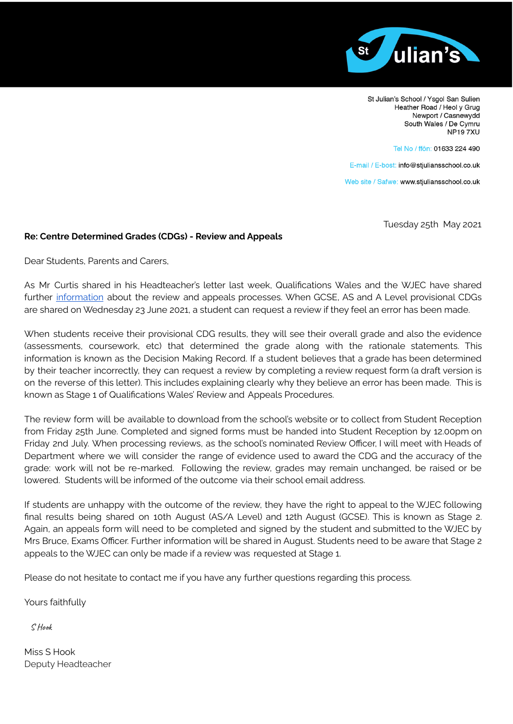

St Julian's School / Ysgol San Sulien Heather Road / Heol y Grug Newport / Casnewydd South Wales / De Cymru **NP197XU** 

Tel No / ffôn: 01633 224 490

E-mail / E-bost: info@stjuliansschool.co.uk

Web site / Safwe: www.stjuliansschool.co.uk

Tuesday 25th May 2021

## **Re: Centre Determined Grades (CDGs) - Review and Appeals**

Dear Students, Parents and Carers,

As Mr Curtis shared in his Headteacher's letter last week, Qualifications Wales and the WJEC have shared further [information](https://file-eu.clickdimensions.com/qualificationswalesorg-a88id/files/lettertolearners-17may2021.pdf?1621440718484&_cldee=aW5mb0BzdGp1bGlhbnNzY2hvb2wuY28udWs%3d&recipientid=contact-491fc922f482ea11a811000d3a228a23-d7df5b13b71a4efca28e1e5a80913299&esid=6088992a-adb8-eb11-8236-000d3a45fdda) about the review and appeals processes. When GCSE, AS and A Level provisional CDGs are shared on Wednesday 23 June 2021, a student can request a review if they feel an error has been made.

When students receive their provisional CDG results, they will see their overall grade and also the evidence (assessments, coursework, etc) that determined the grade along with the rationale statements. This information is known as the Decision Making Record. If a student believes that a grade has been determined by their teacher incorrectly, they can request a review by completing a review request form (a draft version is on the reverse of this letter). This includes explaining clearly why they believe an error has been made. This is known as Stage 1 of Qualifications Wales' Review and Appeals Procedures.

The review form will be available to download from the school's website or to collect from Student Reception from Friday 25th June. Completed and signed forms must be handed into Student Reception by 12.00pm on Friday 2nd July. When processing reviews, as the school's nominated Review Officer, I will meet with Heads of Department where we will consider the range of evidence used to award the CDG and the accuracy of the grade: work will not be re-marked. Following the review, grades may remain unchanged, be raised or be lowered. Students will be informed of the outcome via their school email address.

If students are unhappy with the outcome of the review, they have the right to appeal to the WJEC following final results being shared on 10th August (AS/A Level) and 12th August (GCSE). This is known as Stage 2. Again, an appeals form will need to be completed and signed by the student and submitted to the WJEC by Mrs Bruce, Exams Officer. Further information will be shared in August. Students need to be aware that Stage 2 appeals to the WJEC can only be made if a review was requested at Stage 1.

Please do not hesitate to contact me if you have any further questions regarding this process.

Yours faithfully

S Hook

Miss S Hook Deputy Headteacher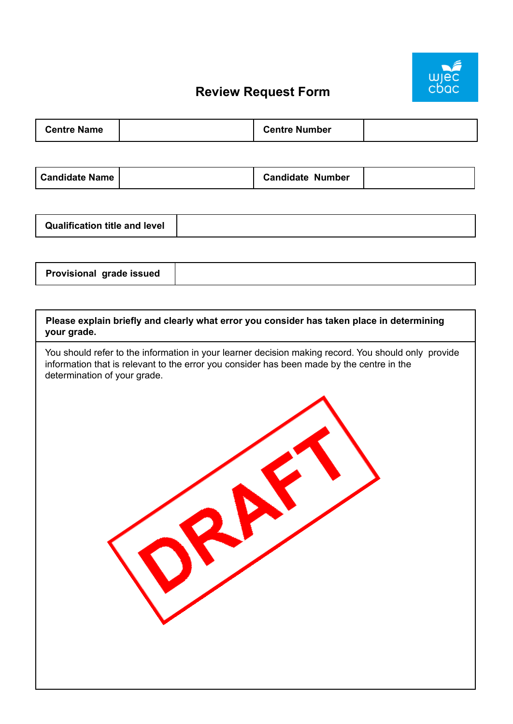

## **Review Request Form**

| <b>Centre Name</b> | <b>Centre Number</b> |  |
|--------------------|----------------------|--|
|--------------------|----------------------|--|

| <b>Candidate Name</b> | <b>Candidate Number</b> |  |
|-----------------------|-------------------------|--|
|-----------------------|-------------------------|--|

|--|

| Please explain briefly and clearly what error you consider has taken place in determining<br>your grade.                                                                                                                         |
|----------------------------------------------------------------------------------------------------------------------------------------------------------------------------------------------------------------------------------|
| You should refer to the information in your learner decision making record. You should only provide<br>information that is relevant to the error you consider has been made by the centre in the<br>determination of your grade. |
|                                                                                                                                                                                                                                  |
|                                                                                                                                                                                                                                  |
|                                                                                                                                                                                                                                  |
|                                                                                                                                                                                                                                  |
|                                                                                                                                                                                                                                  |
|                                                                                                                                                                                                                                  |
|                                                                                                                                                                                                                                  |
|                                                                                                                                                                                                                                  |